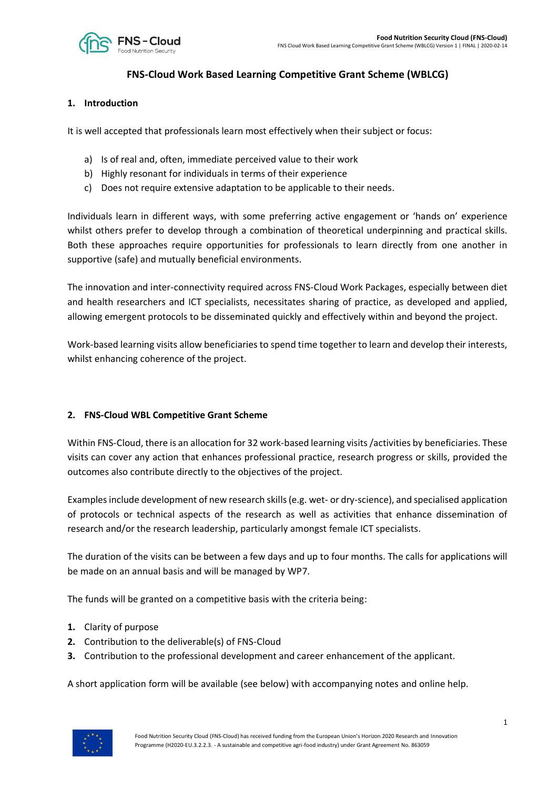

# **FNS-Cloud Work Based Learning Competitive Grant Scheme (WBLCG)**

#### **1. Introduction**

It is well accepted that professionals learn most effectively when their subject or focus:

- a) Is of real and, often, immediate perceived value to their work
- b) Highly resonant for individuals in terms of their experience
- c) Does not require extensive adaptation to be applicable to their needs.

Individuals learn in different ways, with some preferring active engagement or 'hands on' experience whilst others prefer to develop through a combination of theoretical underpinning and practical skills. Both these approaches require opportunities for professionals to learn directly from one another in supportive (safe) and mutually beneficial environments.

The innovation and inter-connectivity required across FNS-Cloud Work Packages, especially between diet and health researchers and ICT specialists, necessitates sharing of practice, as developed and applied, allowing emergent protocols to be disseminated quickly and effectively within and beyond the project.

Work-based learning visits allow beneficiaries to spend time together to learn and develop their interests, whilst enhancing coherence of the project.

#### **2. FNS-Cloud WBL Competitive Grant Scheme**

Within FNS-Cloud, there is an allocation for 32 work-based learning visits/activities by beneficiaries. These visits can cover any action that enhances professional practice, research progress or skills, provided the outcomes also contribute directly to the objectives of the project.

Examples include development of new research skills(e.g. wet- or dry-science), and specialised application of protocols or technical aspects of the research as well as activities that enhance dissemination of research and/or the research leadership, particularly amongst female ICT specialists.

The duration of the visits can be between a few days and up to four months. The calls for applications will be made on an annual basis and will be managed by WP7.

The funds will be granted on a competitive basis with the criteria being:

- **1.** Clarity of purpose
- **2.** Contribution to the deliverable(s) of FNS-Cloud
- **3.** Contribution to the professional development and career enhancement of the applicant.

A short application form will be available (see below) with accompanying notes and online help.

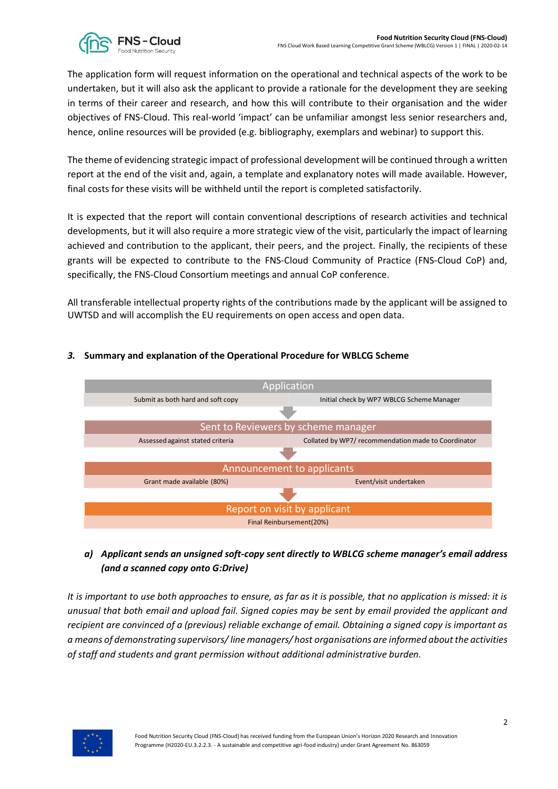

The application form will request information on the operational and technical aspects of the work to be undertaken, but it will also ask the applicant to provide a rationale for the development they are seeking in terms of their career and research, and how this will contribute to their organisation and the wider objectives of FNS-Cloud. This real-world 'impact' can be unfamiliar amongst less senior researchers and, hence, online resources will be provided (e.g. bibliography, exemplars and webinar) to support this.

The theme of evidencing strategic impact of professional development will be continued through a written report at the end of the visit and, again, a template and explanatory notes will made available. However, final costs for these visits will be withheld until the report is completed satisfactorily.

It is expected that the report will contain conventional descriptions of research activities and technical developments, but it will also require a more strategic view of the visit, particularly the impact of learning achieved and contribution to the applicant, their peers, and the project. Finally, the recipients of these grants will be expected to contribute to the FNS-Cloud Community of Practice (FNS-Cloud CoP) and, specifically, the FNS-Cloud Consortium meetings and annual CoP conference.

All transferable intellectual property rights of the contributions made by the applicant will be assigned to UWTSD and will accomplish the EU requirements on open access and open data.



## *3.* **Summary and explanation of the Operational Procedure for WBLCG Scheme**

## *a) Applicant sends an unsigned soft-copy sent directly to WBLCG scheme manager's email address (and a scanned copy onto G:Drive)*

*It is important to use both approaches to ensure, as far as it is possible, that no application is missed: it is unusual that both email and upload fail. Signed copies may be sent by email provided the applicant and recipient are convinced of a (previous) reliable exchange of email. Obtaining a signed copy is important as a means of demonstrating supervisors/ line managers/ host organisations are informed about the activities of staff and students and grant permission without additional administrative burden.*

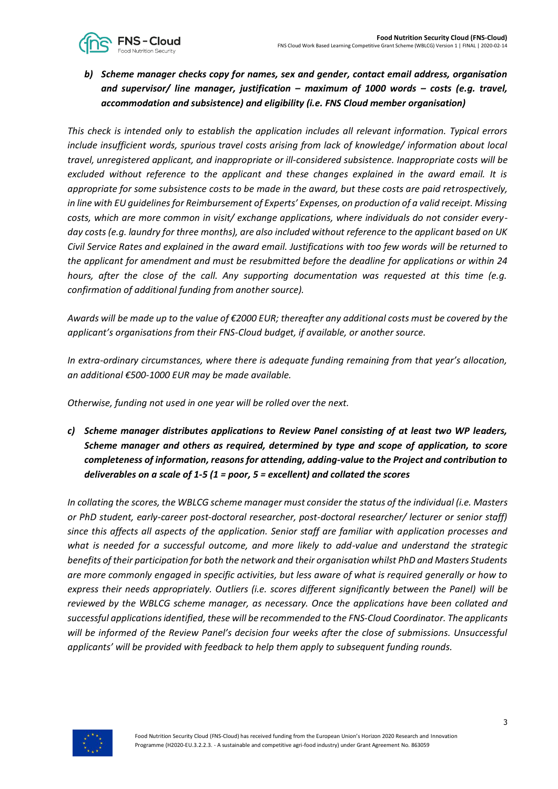

*b) Scheme manager checks copy for names, sex and gender, contact email address, organisation and supervisor/ line manager, justification – maximum of 1000 words – costs (e.g. travel, accommodation and subsistence) and eligibility (i.e. FNS Cloud member organisation)*

*This check is intended only to establish the application includes all relevant information. Typical errors include insufficient words, spurious travel costs arising from lack of knowledge/ information about local travel, unregistered applicant, and inappropriate or ill-considered subsistence. Inappropriate costs will be excluded without reference to the applicant and these changes explained in the award email. It is appropriate for some subsistence costs to be made in the award, but these costs are paid retrospectively, in line with EU guidelines for Reimbursement of Experts' Expenses, on production of a valid receipt. Missing costs, which are more common in visit/ exchange applications, where individuals do not consider everyday costs (e.g. laundry for three months), are also included without reference to the applicant based on UK Civil Service Rates and explained in the award email. Justifications with too few words will be returned to the applicant for amendment and must be resubmitted before the deadline for applications or within 24 hours, after the close of the call. Any supporting documentation was requested at this time (e.g. confirmation of additional funding from another source).*

*Awards will be made up to the value of €2000 EUR; thereafter any additional costs must be covered by the applicant's organisations from their FNS-Cloud budget, if available, or another source.* 

*In extra-ordinary circumstances, where there is adequate funding remaining from that year's allocation, an additional €500-1000 EUR may be made available.* 

*Otherwise, funding not used in one year will be rolled over the next.* 

*c) Scheme manager distributes applications to Review Panel consisting of at least two WP leaders, Scheme manager and others as required, determined by type and scope of application, to score completeness of information, reasons for attending, adding-value to the Project and contribution to deliverables on a scale of 1-5 (1 = poor, 5 = excellent) and collated the scores*

*In collating the scores, the WBLCG scheme manager must consider the status of the individual (i.e. Masters or PhD student, early-career post-doctoral researcher, post-doctoral researcher/ lecturer or senior staff) since this affects all aspects of the application. Senior staff are familiar with application processes and what is needed for a successful outcome, and more likely to add-value and understand the strategic benefits of their participation for both the network and their organisation whilst PhD and Masters Students are more commonly engaged in specific activities, but less aware of what is required generally or how to express their needs appropriately. Outliers (i.e. scores different significantly between the Panel) will be reviewed by the WBLCG scheme manager, as necessary. Once the applications have been collated and successful applications identified, these will be recommended to the FNS-Cloud Coordinator. The applicants will be informed of the Review Panel's decision four weeks after the close of submissions. Unsuccessful applicants' will be provided with feedback to help them apply to subsequent funding rounds.*